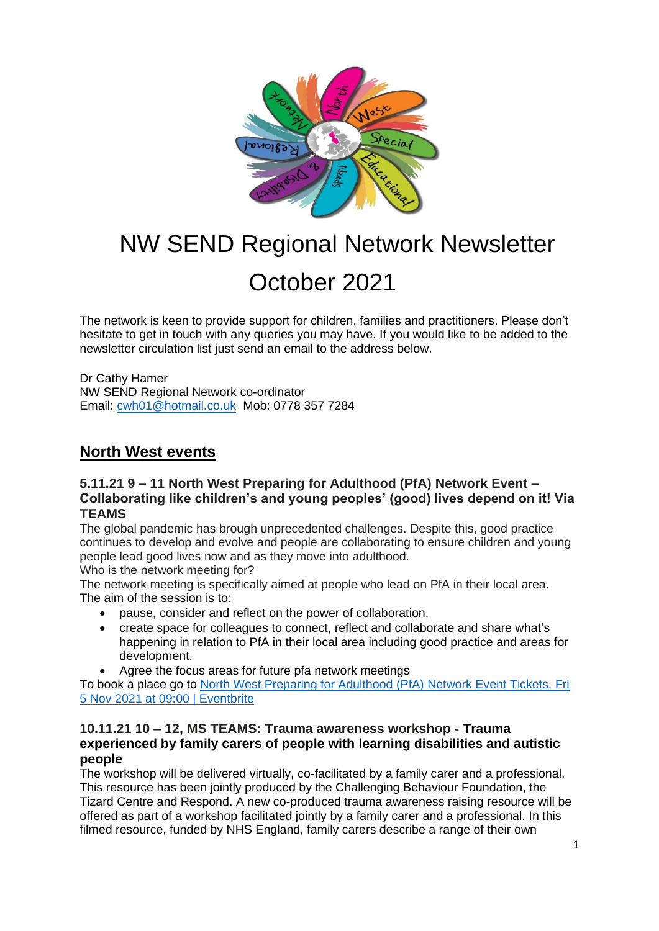

# NW SEND Regional Network Newsletter October 2021

The network is keen to provide support for children, families and practitioners. Please don't hesitate to get in touch with any queries you may have. If you would like to be added to the newsletter circulation list just send an email to the address below.

Dr Cathy Hamer NW SEND Regional Network co-ordinator Email: [cwh01@hotmail.co.uk](mailto:cwh01@hotmail.co.uk) Mob: 0778 357 7284

# **North West events**

## **5.11.21 9 – 11 North West Preparing for Adulthood (PfA) Network Event – Collaborating like children's and young peoples' (good) lives depend on it! Via TEAMS**

The global pandemic has brough unprecedented challenges. Despite this, good practice continues to develop and evolve and people are collaborating to ensure children and young people lead good lives now and as they move into adulthood.

Who is the network meeting for?

The network meeting is specifically aimed at people who lead on PfA in their local area. The aim of the session is to:

- pause, consider and reflect on the power of collaboration.
- create space for colleagues to connect, reflect and collaborate and share what's happening in relation to PfA in their local area including good practice and areas for development.
- Agree the focus areas for future pfa network meetings

To book a place go to [North West Preparing for Adulthood \(PfA\) Network Event Tickets, Fri](https://www.eventbrite.co.uk/e/north-west-preparing-for-adulthood-pfa-network-event-tickets-183494064687)  [5 Nov 2021 at 09:00 | Eventbrite](https://www.eventbrite.co.uk/e/north-west-preparing-for-adulthood-pfa-network-event-tickets-183494064687)

## **10.11.21 10 – 12, MS TEAMS: Trauma awareness workshop - Trauma experienced by family carers of people with learning disabilities and autistic people**

The workshop will be delivered virtually, co-facilitated by a family carer and a professional. This resource has been jointly produced by the Challenging Behaviour Foundation, the Tizard Centre and Respond. A new co-produced trauma awareness raising resource will be offered as part of a workshop facilitated jointly by a family carer and a professional. In this filmed resource, funded by NHS England, family carers describe a range of their own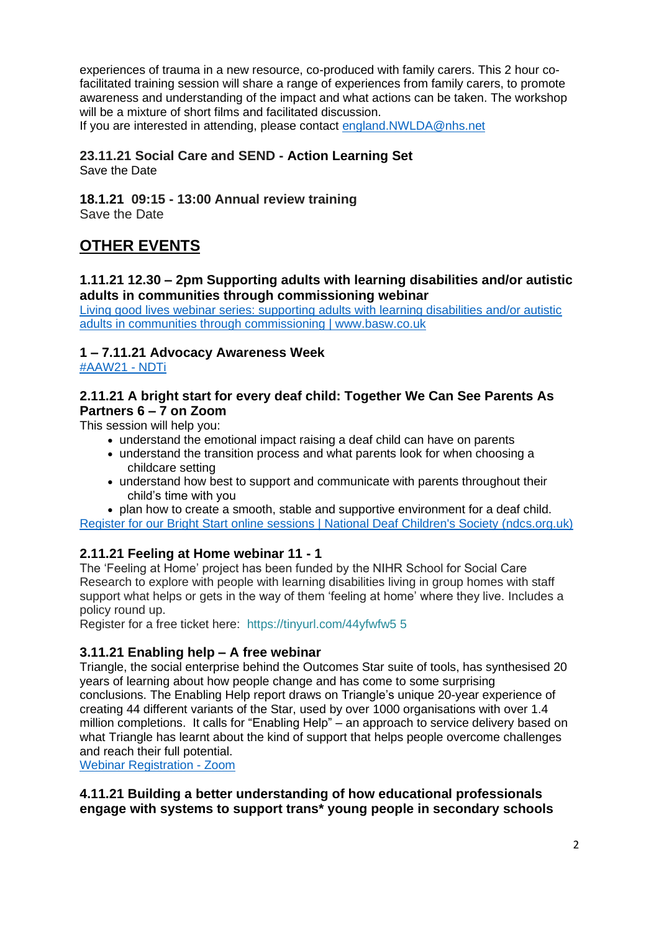experiences of trauma in a new resource, co-produced with family carers. This 2 hour cofacilitated training session will share a range of experiences from family carers, to promote awareness and understanding of the impact and what actions can be taken. The workshop will be a mixture of short films and facilitated discussion.

If you are interested in attending, please contact [england.NWLDA@nhs.net](mailto:england.NWLDA@nhs.net)

#### **23.11.21 Social Care and SEND - Action Learning Set**  Save the Date

**18.1.21 09:15 - 13:00 Annual review training** Save the Date

# **OTHER EVENTS**

#### **1.11.21 12.30 – 2pm Supporting adults with learning disabilities and/or autistic adults in communities through commissioning webinar**

[Living good lives webinar series: supporting adults with learning disabilities and/or autistic](https://www.basw.co.uk/events/living-good-lives-webinar-series-supporting-adults-learning-disabilities-andor-autistic?utm_medium=email&utm_source=scupdate&utm_campaign=oct21)  [adults in communities through commissioning | www.basw.co.uk](https://www.basw.co.uk/events/living-good-lives-webinar-series-supporting-adults-learning-disabilities-andor-autistic?utm_medium=email&utm_source=scupdate&utm_campaign=oct21)

## **1 – 7.11.21 Advocacy Awareness Week**

[#AAW21 -](https://www.ndti.org.uk/aaw21) NDTi

## **2.11.21 A bright start for every deaf child: Together We Can See Parents As Partners 6 – 7 on Zoom**

This session will help you:

- understand the emotional impact raising a deaf child can have on parents
- understand the transition process and what parents look for when choosing a childcare setting
- understand how best to support and communicate with parents throughout their child's time with you

• plan how to create a smooth, stable and supportive environment for a deaf child.

[Register for our Bright Start online sessions | National Deaf Children's Society \(ndcs.org.uk\)](https://www.ndcs.org.uk/our-services/services-for-professionals/online-information-sessions-for-professionals/a-bright-start-for-every-deaf-child/register-for-our-bright-start-online-sessions/)

## **2.11.21 Feeling at Home webinar 11 - 1**

The 'Feeling at Home' project has been funded by the NIHR School for Social Care Research to explore with people with learning disabilities living in group homes with staff support what helps or gets in the way of them 'feeling at home' where they live. Includes a policy round up.

Register for a free ticket here: [https://tinyurl.com/44yfwfw5](https://eur03.safelinks.protection.outlook.com/?url=https%3A%2F%2Ftinyurl.com%2F44yfwfw5&data=04%7C01%7Ckaty.brickley%40kcl.ac.uk%7C32c43f231d844b78214f08d9828f1000%7C8370cf1416f34c16b83c724071654356%7C0%7C0%7C637684373263675486%7CUnknown%7CTWFpbGZsb3d8eyJWIjoiMC4wLjAwMDAiLCJQIjoiV2luMzIiLCJBTiI6Ik1haWwiLCJXVCI6Mn0%3D%7C1000&sdata=IQwKRy1%2BzZE%2BegKToJwZqBfiDQJV6vmALJ%2FZZl7uZVQ%3D&reserved=0) 5

## **3.11.21 Enabling help – A free webinar**

Triangle, the social enterprise behind the Outcomes Star suite of tools, has synthesised 20 years of learning about how people change and has come to some surprising conclusions. The Enabling Help report draws on Triangle's unique 20-year experience of creating 44 different variants of the Star, used by over 1000 organisations with over 1.4 million completions. It calls for "Enabling Help" – an approach to service delivery based on what Triangle has learnt about the kind of support that helps people overcome challenges and reach their full potential.

[Webinar Registration -](https://us06web.zoom.us/webinar/register/2116323968588/WN_8mK_nZ16RxGfKyNqe4lckg?utm_source=Eh+Email+3+-+wider+audience/+webinar) Zoom

## **4.11.21 Building a better understanding of how educational professionals engage with systems to support trans\* young people in secondary schools**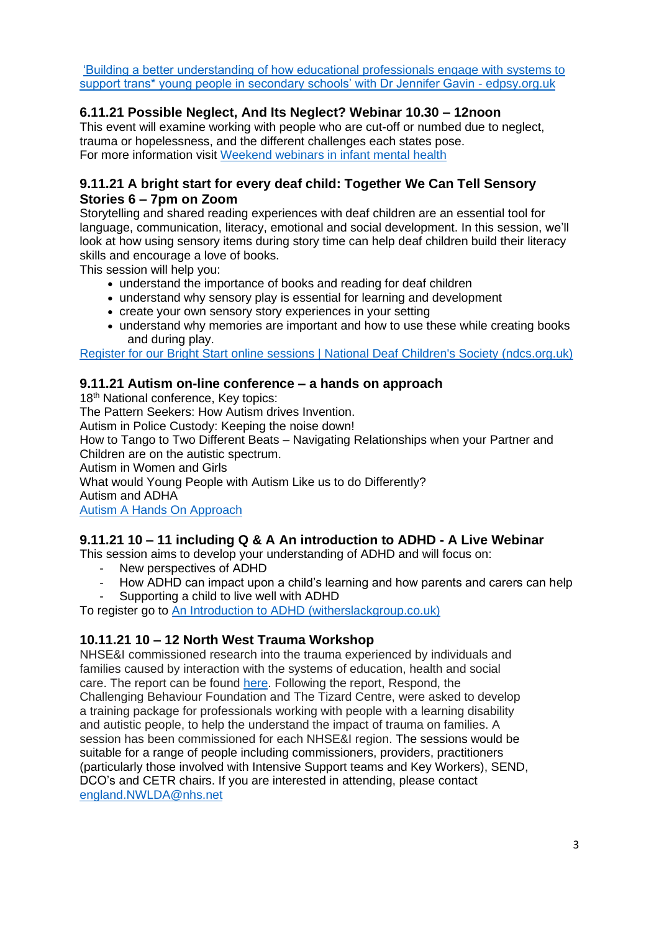['Building a better understanding of how educational professionals engage with systems to](https://edpsy.org.uk/event/building-a-better-understanding-of-how-educational-professionals-engage-with-systems-to-support-trans-young-people-in-secondary-schools-with-dr-jennifer-gavin-11-21/)  [support trans\\* young people in secondary schools' with Dr Jennifer Gavin -](https://edpsy.org.uk/event/building-a-better-understanding-of-how-educational-professionals-engage-with-systems-to-support-trans-young-people-in-secondary-schools-with-dr-jennifer-gavin-11-21/) edpsy.org.uk

# **6.11.21 Possible Neglect, And Its Neglect? Webinar 10.30 – 12noon**

This event will examine working with people who are cut-off or numbed due to neglect, trauma or hopelessness, and the different challenges each states pose. For more information visit [Weekend webinars in infant mental health](https://www.infantmentalhealth.com/weekend-webinars/)

## **9.11.21 A bright start for every deaf child: Together We Can Tell Sensory Stories 6 – 7pm on Zoom**

Storytelling and shared reading experiences with deaf children are an essential tool for language, communication, literacy, emotional and social development. In this session, we'll look at how using sensory items during story time can help deaf children build their literacy skills and encourage a love of books.

This session will help you:

- understand the importance of books and reading for deaf children
- understand why sensory play is essential for learning and development
- create your own sensory story experiences in your setting
- understand why memories are important and how to use these while creating books and during play.

[Register for our Bright Start online sessions | National Deaf Children's Society \(ndcs.org.uk\)](https://www.ndcs.org.uk/our-services/services-for-professionals/online-information-sessions-for-professionals/a-bright-start-for-every-deaf-child/register-for-our-bright-start-online-sessions/)

## **9.11.21 Autism on-line conference – a hands on approach**

18<sup>th</sup> National conference, Key topics: The Pattern Seekers: How Autism drives Invention. Autism in Police Custody: Keeping the noise down! How to Tango to Two Different Beats – Navigating Relationships when your Partner and Children are on the autistic spectrum. Autism in Women and Girls What would Young People with Autism Like us to do Differently? Autism and ADHA [Autism A Hands On Approach](https://autismahandsonapproach.co.uk/)

## **9.11.21 10 – 11 including Q & A An introduction to ADHD - A Live Webinar**

This session aims to develop your understanding of ADHD and will focus on:

- New perspectives of ADHD
- How ADHD can impact upon a child's learning and how parents and carers can help
- Supporting a child to live well with ADHD

To register go to [An Introduction to ADHD \(witherslackgroup.co.uk\)](https://pages.witherslackgroup.co.uk/intro-adhd?utm_campaign=An%20Introduction%20to%20ADHD&utm_medium=email&_hsmi=174596687&_hsenc=p2ANqtz-9gaqYqgV3Frkd2kMg2UnUzSF6cxsvO1jtxX_o7O-_3N2CwWrWxRawceaBHzd3iX8KWBOr6fSVPK8VuYTbtzhCGAnyasg&utm_content=172528759&utm_source=hs_email)

## **10.11.21 10 – 12 North West Trauma Workshop**

NHSE&I commissioned research into the trauma experienced by individuals and families caused by interaction with the systems of education, health and social care. The report can be found [here.](https://emea01.safelinks.protection.outlook.com/?url=https%3A%2F%2Fwww.challengingbehaviour.org.uk%2Fwp-content%2Fuploads%2F2021%2F03%2Fbrokencbffinalreportstrand1jan21.pdf&data=04%7C01%7C%7C4b0f0d1f984c45bb0c1a08d979bf0cbd%7C84df9e7fe9f640afb435aaaaaaaaaaaa%7C1%7C0%7C637674684026141512%7CUnknown%7CTWFpbGZsb3d8eyJWIjoiMC4wLjAwMDAiLCJQIjoiV2luMzIiLCJBTiI6Ik1haWwiLCJXVCI6Mn0%3D%7C1000&sdata=%2BZszHF4534U20z0blGPvqE%2B7OHCiK2IQ6scByhsSLVQ%3D&reserved=0) Following the report, Respond, the Challenging Behaviour Foundation and The Tizard Centre, were asked to develop a training package for professionals working with people with a learning disability and autistic people, to help the understand the impact of trauma on families. A session has been commissioned for each NHSE&I region. The sessions would be suitable for a range of people including commissioners, providers, practitioners (particularly those involved with Intensive Support teams and Key Workers), SEND, DCO's and CETR chairs. If you are interested in attending, please contact [england.NWLDA@nhs.net](mailto:england.NWLDA@nhs.net)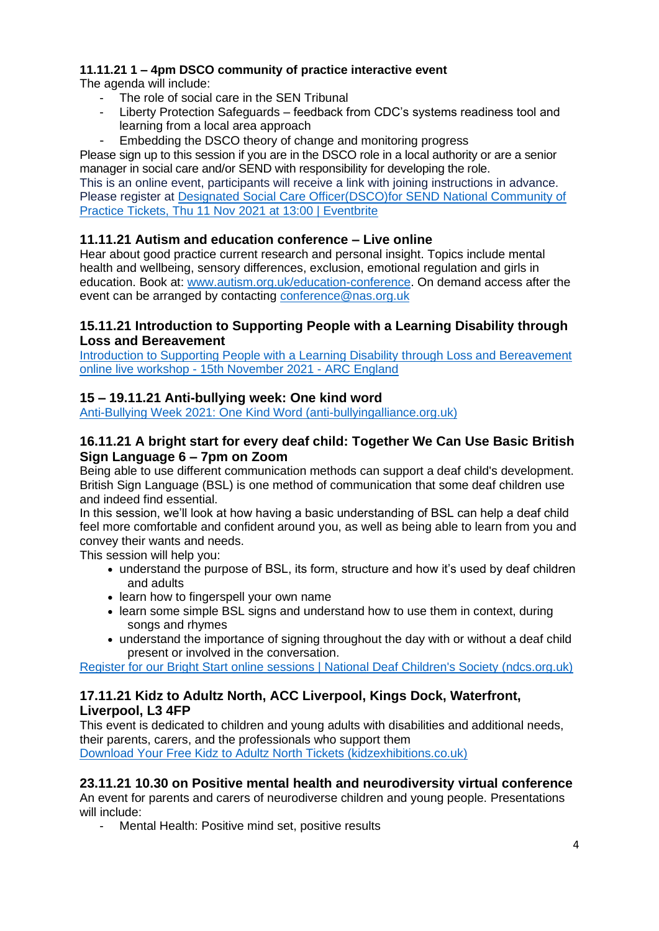# **11.11.21 1 – 4pm DSCO community of practice interactive event**

The agenda will include:

- The role of social care in the SEN Tribunal
- Liberty Protection Safeguards feedback from CDC's systems readiness tool and learning from a local area approach
- Embedding the DSCO theory of change and monitoring progress

Please sign up to this session if you are in the DSCO role in a local authority or are a senior manager in social care and/or SEND with responsibility for developing the role.

This is an online event, participants will receive a link with joining instructions in advance. Please register at [Designated Social Care Officer\(DSCO\)for SEND National Community of](https://www.eventbrite.co.uk/e/designated-social-care-officerdscofor-send-national-community-of-practice-tickets-180014136127)  [Practice Tickets, Thu 11 Nov 2021 at 13:00 | Eventbrite](https://www.eventbrite.co.uk/e/designated-social-care-officerdscofor-send-national-community-of-practice-tickets-180014136127)

# **11.11.21 Autism and education conference – Live online**

Hear about good practice current research and personal insight. Topics include mental health and wellbeing, sensory differences, exclusion, emotional regulation and girls in education. Book at: [www.autism.org.uk/education-conference.](http://www.autism.org.uk/education-conference) On demand access after the event can be arranged by contacting [conference@nas.org.uk](mailto:conference@nas.org.uk)

# **15.11.21 Introduction to Supporting People with a Learning Disability through Loss and Bereavement**

[Introduction to Supporting People with a Learning Disability through Loss and Bereavement](https://arcengland.org.uk/event/introduction-to-supporting-people-with-a-learning-disability-through-loss-and-bereavement-online-live-workshop-15th-november-2021/)  online live workshop - [15th November 2021 -](https://arcengland.org.uk/event/introduction-to-supporting-people-with-a-learning-disability-through-loss-and-bereavement-online-live-workshop-15th-november-2021/) ARC England

# **15 – 19.11.21 Anti-bullying week: One kind word**

[Anti-Bullying Week 2021: One Kind Word \(anti-bullyingalliance.org.uk\)](https://anti-bullyingalliance.org.uk/anti-bullying-week/anti-bullying-week-2021-one-kind-word)

## **16.11.21 A bright start for every deaf child: Together We Can Use Basic British Sign Language 6 – 7pm on Zoom**

Being able to use different communication methods can support a deaf child's development. British Sign Language (BSL) is one method of communication that some deaf children use and indeed find essential.

In this session, we'll look at how having a basic understanding of BSL can help a deaf child feel more comfortable and confident around you, as well as being able to learn from you and convey their wants and needs.

This session will help you:

- understand the purpose of BSL, its form, structure and how it's used by deaf children and adults
- learn how to fingerspell your own name
- learn some simple BSL signs and understand how to use them in context, during songs and rhymes
- understand the importance of signing throughout the day with or without a deaf child present or involved in the conversation.

[Register for our Bright Start online sessions | National Deaf Children's Society \(ndcs.org.uk\)](https://www.ndcs.org.uk/our-services/services-for-professionals/online-information-sessions-for-professionals/a-bright-start-for-every-deaf-child/register-for-our-bright-start-online-sessions/)

# **17.11.21 Kidz to Adultz North, ACC Liverpool, Kings Dock, Waterfront, Liverpool, L3 4FP**

This event is dedicated to children and young adults with disabilities and additional needs, their parents, carers, and the professionals who support them [Download Your Free Kidz to Adultz North Tickets \(kidzexhibitions.co.uk\)](https://www.kidzexhibitions.co.uk/kidz-north/visit-kidz-to-adultz-north/download-tickets/)

# **23.11.21 10.30 on Positive mental health and neurodiversity virtual conference**

An event for parents and carers of neurodiverse children and young people. Presentations will include:

Mental Health: Positive mind set, positive results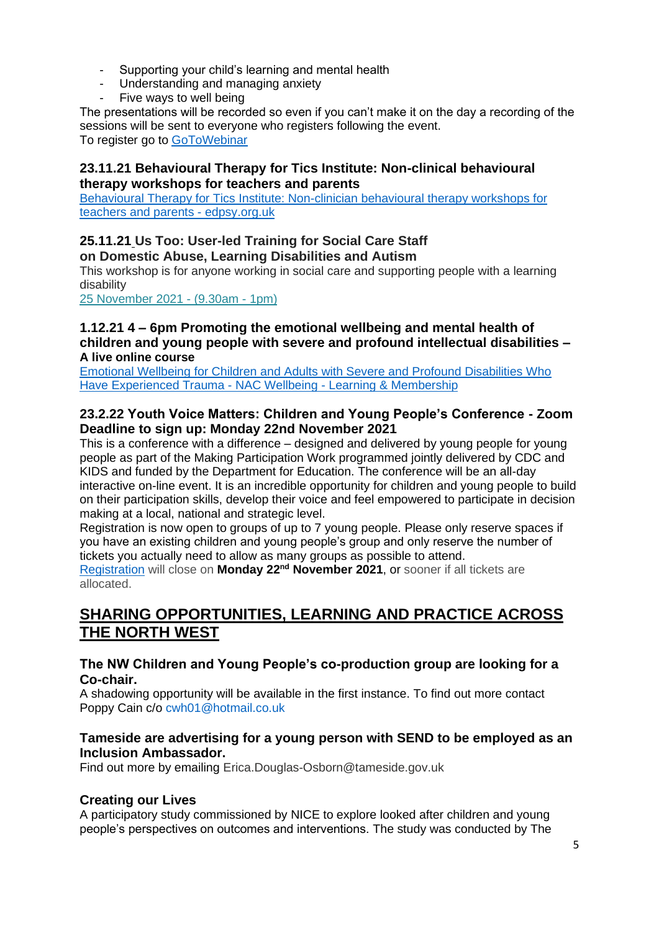- Supporting your child's learning and mental health
- Understanding and managing anxiety
- Five ways to well being

The presentations will be recorded so even if you can't make it on the day a recording of the sessions will be sent to everyone who registers following the event. To register go to [GoToWebinar](https://event.gotowebinar.com/event/dfc66a51-e6d4-4042-8814-c3bbbc2cd34b?utm_campaign=Virtual%20SEN%20Conference%20-%20Nov%2021&utm_medium=email&_hsmi=172548167&_hsenc=p2ANqtz-9CyXLTGRZFOY2zwOWQHAqa4PjgX3MXDAYVQxjmuSn0rPEebMRgpHBy3agvazoWRZCYouYx9ERdA5ezEEwNSOp1j9E82w&utm_content=172546763&utm_source=hs_email)

## **23.11.21 Behavioural Therapy for Tics Institute: Non-clinical behavioural therapy workshops for teachers and parents**

[Behavioural Therapy for Tics Institute: Non-clinician behavioural therapy workshops for](https://edpsy.org.uk/event/behavioural-therapy-for-tics-institute-non-clinician-behavioural-therapy-workshops-for-teachers-and-parents-11-21/)  [teachers and](https://edpsy.org.uk/event/behavioural-therapy-for-tics-institute-non-clinician-behavioural-therapy-workshops-for-teachers-and-parents-11-21/) parents - edpsy.org.uk

# **25.11.21 Us Too: User-led Training for Social Care Staff on Domestic Abuse, Learning Disabilities and Autism**

This workshop is for anyone working in social care and supporting people with a learning disability

[25 November 2021 -](https://arcuk.org.uk/events/event/us-too-user-led-training-for-social-care-staff-on-domestic-abuse-learning-disabilities-and-autism-3/) (9.30am - 1pm)

#### **1.12.21 4 – 6pm Promoting the emotional wellbeing and mental health of children and young people with severe and profound intellectual disabilities – A live online course**

[Emotional Wellbeing for Children and Adults with Severe and Profound Disabilities Who](https://learning.nacwellbeing.org/emotional-wellbeing)  [Have Experienced Trauma -](https://learning.nacwellbeing.org/emotional-wellbeing) NAC Wellbeing - Learning & Membership

#### **23.2.22 Youth Voice Matters: Children and Young People's Conference - Zoom Deadline to sign up: Monday 22nd November 2021**

This is a conference with a difference – designed and delivered by young people for young people as part of the Making Participation Work programmed jointly delivered by CDC and KIDS and funded by the Department for Education. The conference will be an all-day interactive on-line event. It is an incredible opportunity for children and young people to build on their participation skills, develop their voice and feel empowered to participate in decision making at a local, national and strategic level.

Registration is now open to groups of up to 7 young people. Please only reserve spaces if you have an existing children and young people's group and only reserve the number of tickets you actually need to allow as many groups as possible to attend.

[Registration](https://emea01.safelinks.protection.outlook.com/?url=https%3A%2F%2Fcouncilfordisabledchildren.us9.list-manage.com%2Ftrack%2Fclick%3Fu%3D93ca41ab24380caf57761bd37%26id%3Dba07bd86aa%26e%3D59c28d4a77&data=04%7C01%7C%7C04e2c53028f842fd076008d9948fc297%7C84df9e7fe9f640afb435aaaaaaaaaaaa%7C1%7C0%7C637704167427506898%7CUnknown%7CTWFpbGZsb3d8eyJWIjoiMC4wLjAwMDAiLCJQIjoiV2luMzIiLCJBTiI6Ik1haWwiLCJXVCI6Mn0%3D%7C1000&sdata=JFNTAbogRWWUxt1T0g%2Fys06B1NYOSRlBkwaaZkP6W2I%3D&reserved=0) will close on **Monday 22nd November 2021**, or sooner if all tickets are allocated.

# **SHARING OPPORTUNITIES, LEARNING AND PRACTICE ACROSS THE NORTH WEST**

#### **The NW Children and Young People's co-production group are looking for a Co-chair.**

A shadowing opportunity will be available in the first instance. To find out more contact Poppy Cain c/o [cwh01@hotmail.co.uk](mailto:cwh01@hotmail.co.uk)

#### **Tameside are advertising for a young person with SEND to be employed as an Inclusion Ambassador.**

Find out more by emailing Erica.Douglas-Osborn@tameside.gov.uk

## **Creating our Lives**

A participatory study commissioned by NICE to explore looked after children and young people's perspectives on outcomes and interventions. The study was conducted by The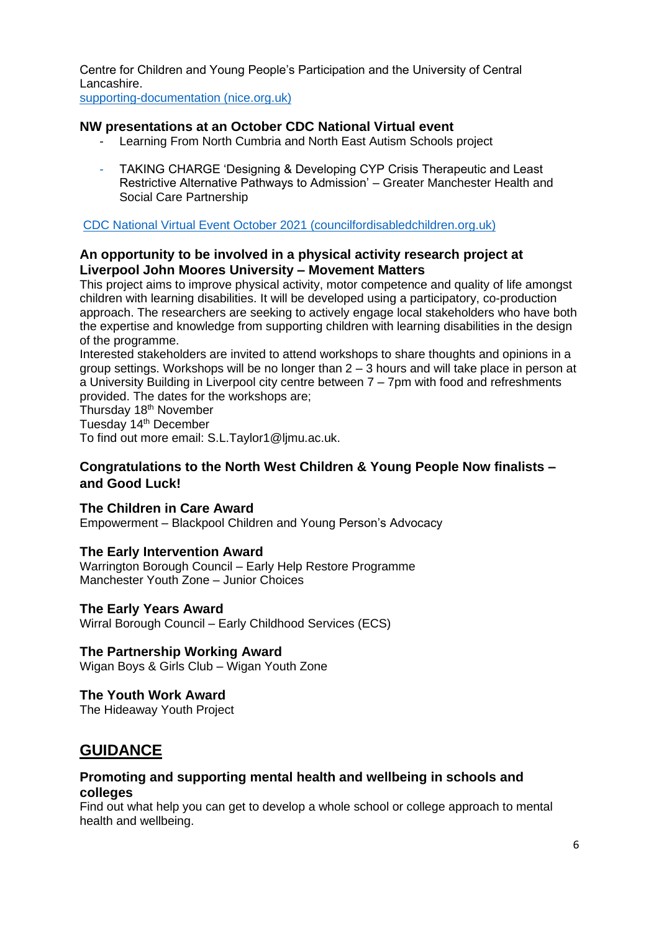Centre for Children and Young People's Participation and the University of Central Lancashire.

[supporting-documentation \(nice.org.uk\)](https://www.nice.org.uk/guidance/GID-NG10121/documents/supporting-documentation)

## **NW presentations at an October CDC National Virtual event**

- Learning From North Cumbria and North East Autism Schools project
- TAKING CHARGE 'Designing & Developing CYP Crisis Therapeutic and Least Restrictive Alternative Pathways to Admission' – Greater Manchester Health and Social Care Partnership

[CDC National Virtual Event October 2021 \(councilfordisabledchildren.org.uk\)](https://councilfordisabledchildren.org.uk/resources/all-resources/filter/health/cdc-national-virtual-event-october-2021)

## **An opportunity to be involved in a physical activity research project at Liverpool John Moores University – Movement Matters**

This project aims to improve physical activity, motor competence and quality of life amongst children with learning disabilities. It will be developed using a participatory, co-production approach. The researchers are seeking to actively engage local stakeholders who have both the expertise and knowledge from supporting children with learning disabilities in the design of the programme.

Interested stakeholders are invited to attend workshops to share thoughts and opinions in a group settings. Workshops will be no longer than 2 – 3 hours and will take place in person at a University Building in Liverpool city centre between 7 – 7pm with food and refreshments provided. The dates for the workshops are;

Thursday 18<sup>th</sup> November

Tuesday 14<sup>th</sup> December

To find out more email: [S.L.Taylor1@ljmu.ac.uk.](mailto:S.L.Taylor1@ljmu.ac.uk)

## **Congratulations to the North West Children & Young People Now finalists – and Good Luck!**

**The Children in Care Award** Empowerment – Blackpool Children and Young Person's Advocacy

## **The Early Intervention Award**

Warrington Borough Council – Early Help Restore Programme Manchester Youth Zone – Junior Choices

## **The Early Years Award**

Wirral Borough Council – Early Childhood Services (ECS)

#### **The Partnership Working Award**

Wigan Boys & Girls Club – Wigan Youth Zone

#### **The Youth Work Award**

The Hideaway Youth Project

# **GUIDANCE**

#### **Promoting and supporting mental health and wellbeing in schools and colleges**

Find out what help you can get to develop a whole school or college approach to mental health and wellbeing.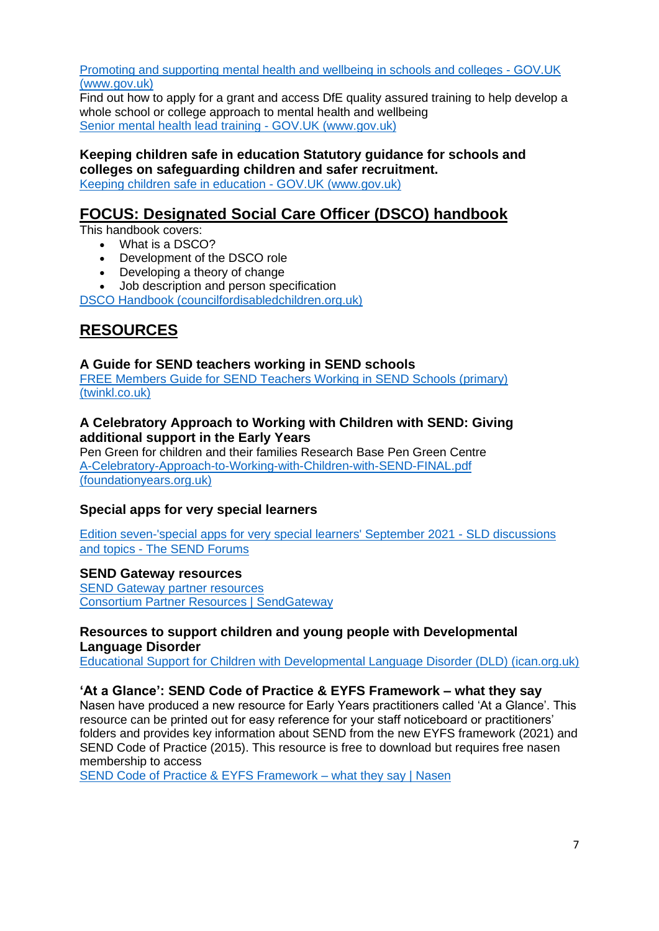[Promoting and supporting mental health and](https://www.gov.uk/guidance/mental-health-and-wellbeing-support-in-schools-and-colleges) wellbeing in schools and colleges - GOV.UK [\(www.gov.uk\)](https://www.gov.uk/guidance/mental-health-and-wellbeing-support-in-schools-and-colleges)

Find out how to apply for a grant and access DfE quality assured training to help develop a whole school or college approach to mental health and wellbeing [Senior mental health lead training -](https://www.gov.uk/guidance/senior-mental-health-lead-training) GOV.UK (www.gov.uk)

**Keeping children safe in education Statutory guidance for schools and colleges on safeguarding children and safer recruitment.** [Keeping children safe in education -](https://www.gov.uk/government/publications/keeping-children-safe-in-education--2) GOV.UK (www.gov.uk)

# **FOCUS: Designated Social Care Officer (DSCO) handbook**

This handbook covers:

- What is a DSCO?
- Development of the DSCO role
- Developing a theory of change
- Job description and person specification

[DSCO Handbook \(councilfordisabledchildren.org.uk\)](https://councilfordisabledchildren.org.uk/resources/all-resources/filter/inclusion-send/dsco-handbook)

# **RESOURCES**

## **A Guide for SEND teachers working in SEND schools**

[FREE Members Guide for SEND Teachers Working in SEND Schools \(primary\)](https://www.twinkl.co.uk/resource/members-guide-for-send-teachers-working-in-send-schools-t-s-2548822?utm_source=newsletter&utm_medium=email&utm_campaign=newsletter_2021-09-12_GB-ENG_SEND_v-c&utm_content=free_send_membership_guide)  [\(twinkl.co.uk\)](https://www.twinkl.co.uk/resource/members-guide-for-send-teachers-working-in-send-schools-t-s-2548822?utm_source=newsletter&utm_medium=email&utm_campaign=newsletter_2021-09-12_GB-ENG_SEND_v-c&utm_content=free_send_membership_guide)

## **A Celebratory Approach to Working with Children with SEND: Giving additional support in the Early Years**

Pen Green for children and their families Research Base Pen Green Centre [A-Celebratory-Approach-to-Working-with-Children-with-SEND-FINAL.pdf](https://foundationyears.org.uk/wp-content/uploads/2021/09/A-Celebratory-Approach-to-Working-with-Children-with-SEND-FINAL.pdf?utm_source=Foundation+Years&utm_campaign=63698a82dd-EMAIL_CAMPAIGN_2019_03_21_05_01_COPY_01&utm_medium=email&utm_term=0_8f9a6de061-63698a82dd-321554921&mc_cid=63698a82dd&mc_eid=59c28d4a77)  [\(foundationyears.org.uk\)](https://foundationyears.org.uk/wp-content/uploads/2021/09/A-Celebratory-Approach-to-Working-with-Children-with-SEND-FINAL.pdf?utm_source=Foundation+Years&utm_campaign=63698a82dd-EMAIL_CAMPAIGN_2019_03_21_05_01_COPY_01&utm_medium=email&utm_term=0_8f9a6de061-63698a82dd-321554921&mc_cid=63698a82dd&mc_eid=59c28d4a77)

## **Special apps for very special learners**

[Edition seven-'special apps for very special learners' September 2021 -](https://www.thesendforums.org.uk/t/h7hpzah/edition-seven-special-apps-for-very-special-learners-september-2021) SLD discussions and topics - The [SEND Forums](https://www.thesendforums.org.uk/t/h7hpzah/edition-seven-special-apps-for-very-special-learners-september-2021)

## **SEND Gateway resources**

SEND Gateway partner resources [Consortium Partner Resources | SendGateway](https://www.sendgateway.org.uk/page/consortium-partner-resources?utm_campaign=3007709_WSS%20Member%20Community%20update%20-%20October&utm_medium=email&utm_source=Nasen&dm_i=2F68,1SGRH,7KZLHG,66D93,1)

## **Resources to support children and young people with Developmental Language Disorder**

[Educational Support for Children with Developmental Language Disorder \(DLD\) \(ican.org.uk\)](https://ican.org.uk/educational-support-for-children-with-developmental-language-disorder-dld/?utm_source=All+Subscribers&utm_campaign=ba1102cfbd-DLD+Awareness+Day&utm_medium=email&utm_term=0_aaf225d5ad-ba1102cfbd-118576262)

## **'At a Glance': SEND Code of Practice & EYFS Framework – what they say**

Nasen have produced a new resource for Early Years practitioners called 'At a Glance'. This resource can be printed out for easy reference for your staff noticeboard or practitioners' folders and provides key information about SEND from the new EYFS framework (2021) and SEND Code of Practice (2015). This resource is free to download but requires free nasen membership to access

[SEND Code of Practice & EYFS Framework –](https://nasen.org.uk/resources/send-code-practice-eyfs-framework-what-they-say) what they say | Nasen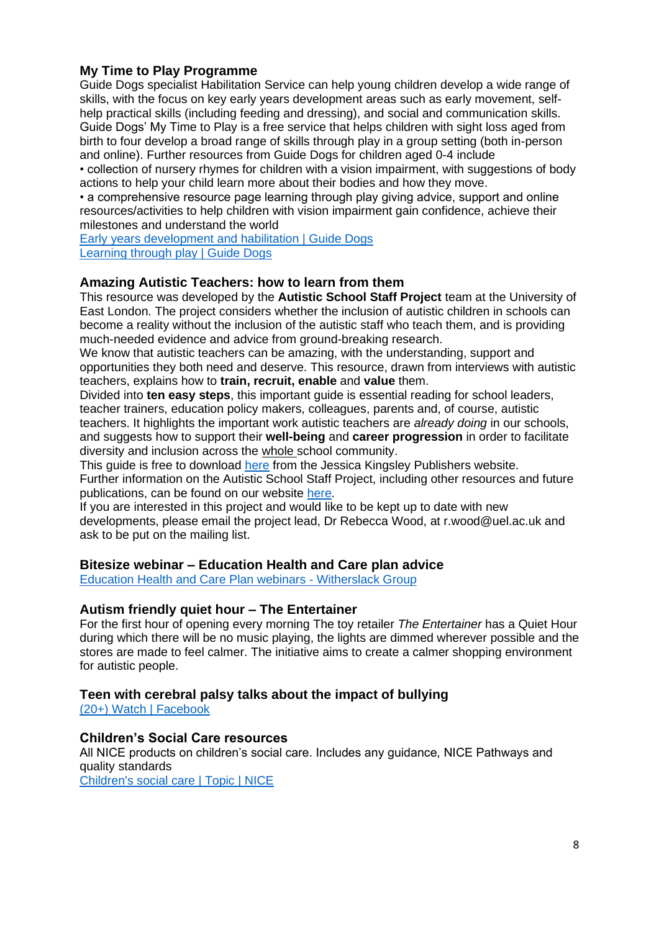# **My Time to Play Programme**

Guide Dogs specialist Habilitation Service can help young children develop a wide range of skills, with the focus on key early years development areas such as early movement, selfhelp practical skills (including feeding and dressing), and social and communication skills. Guide Dogs' My Time to Play is a free service that helps children with sight loss aged from birth to four develop a broad range of skills through play in a group setting (both in-person and online). Further resources from Guide Dogs for children aged 0-4 include

• collection of nursery rhymes for children with a vision impairment, with suggestions of body actions to help your child learn more about their bodies and how they move.

• a comprehensive resource page learning through play giving advice, support and online resources/activities to help children with vision impairment gain confidence, achieve their milestones and understand the world

Early years development and habilitation I Guide Dogs [Learning through play | Guide Dogs](https://www.guidedogs.org.uk/getting-support/information-and-advice/learning-through-play/)

#### **Amazing Autistic Teachers: how to learn from them**

This resource was developed by the **Autistic School Staff Project** team at the University of East London. The project considers whether the inclusion of autistic children in schools can become a reality without the inclusion of the autistic staff who teach them, and is providing much-needed evidence and advice from ground-breaking research.

We know that autistic teachers can be amazing, with the understanding, support and opportunities they both need and deserve. This resource, drawn from interviews with autistic teachers, explains how to **train, recruit, enable** and **value** them.

Divided into **ten easy steps**, this important guide is essential reading for school leaders, teacher trainers, education policy makers, colleagues, parents and, of course, autistic teachers. It highlights the important work autistic teachers are *already doing* in our schools, and suggests how to support their **well-being** and **career progression** in order to facilitate diversity and inclusion across the whole school community.

This guide is free to download [here](https://emea01.safelinks.protection.outlook.com/?url=https%3A%2F%2Flibrary.jkp.com%2Fid007011372%2F&data=04%7C01%7C%7Cb7b28c9e3f554178678608d9842d538e%7C84df9e7fe9f640afb435aaaaaaaaaaaa%7C1%7C0%7C637686152470609477%7CUnknown%7CTWFpbGZsb3d8eyJWIjoiMC4wLjAwMDAiLCJQIjoiV2luMzIiLCJBTiI6Ik1haWwiLCJXVCI6Mn0%3D%7C1000&sdata=Fc%2Fl2qB7oUX1lZNg%2FeEt1wSH%2FLGIcUwLdL%2FV066NIXQ%3D&reserved=0) from the Jessica Kingsley Publishers website. Further information on the Autistic School Staff Project, including other resources and future publications, can be found on our website [here.](https://emea01.safelinks.protection.outlook.com/?url=https%3A%2F%2Fautisticschoolstaffproject.com%2F&data=04%7C01%7C%7Cb7b28c9e3f554178678608d9842d538e%7C84df9e7fe9f640afb435aaaaaaaaaaaa%7C1%7C0%7C637686152470609477%7CUnknown%7CTWFpbGZsb3d8eyJWIjoiMC4wLjAwMDAiLCJQIjoiV2luMzIiLCJBTiI6Ik1haWwiLCJXVCI6Mn0%3D%7C1000&sdata=GfciwoIe34KvYOMUzzMOL2Sw0i2JX%2B2b%2BH25168TX58%3D&reserved=0)

If you are interested in this project and would like to be kept up to date with new developments, please email the project lead, Dr Rebecca Wood, at r.wood@uel.ac.uk and ask to be put on the mailing list.

#### **Bitesize webinar – Education Health and Care plan advice**

[Education Health and Care Plan webinars -](https://www.witherslackgroup.co.uk/our-locations/our-schools/millcourt-school/education-health-and-care-plan-webinars/?utm_campaign=Challenging%20behaviours%20and%20coping%20strategies&utm_medium=email&_hsmi=167250336&_hsenc=p2ANqtz-8E6cN6j7PrFCVEKfNVfmJk1iveAWyqyiI2xVQB9_gk9EFCfUPH80R8RNJGqki4qv7-0Kz3tOmLvO8PXtDam55oz-uixQ&utm_content=167250336&utm_source=hs_email) Witherslack Group

## **Autism friendly quiet hour – The Entertainer**

For the first hour of opening every morning The toy retailer *The Entertainer* has a Quiet Hour during which there will be no music playing, the lights are dimmed wherever possible and the stores are made to feel calmer. The initiative aims to create a calmer shopping environment for autistic people.

## **Teen with cerebral palsy talks about the impact of bullying**

[\(20+\) Watch | Facebook](https://www.facebook.com/watch/?extid=NS-UNK-UNK-UNK-AN_GK0T-GK1C&v=613373660031645)

# **Children's Social Care resources**

All NICE products on children's social care. Includes any guidance, NICE Pathways and quality standards

[Children's social care | Topic | NICE](https://www.nice.org.uk/guidance/health-and-social-care-delivery/childrens-social-care?utm_medium=email&utm_source=scupdate&utm_campaign=all19)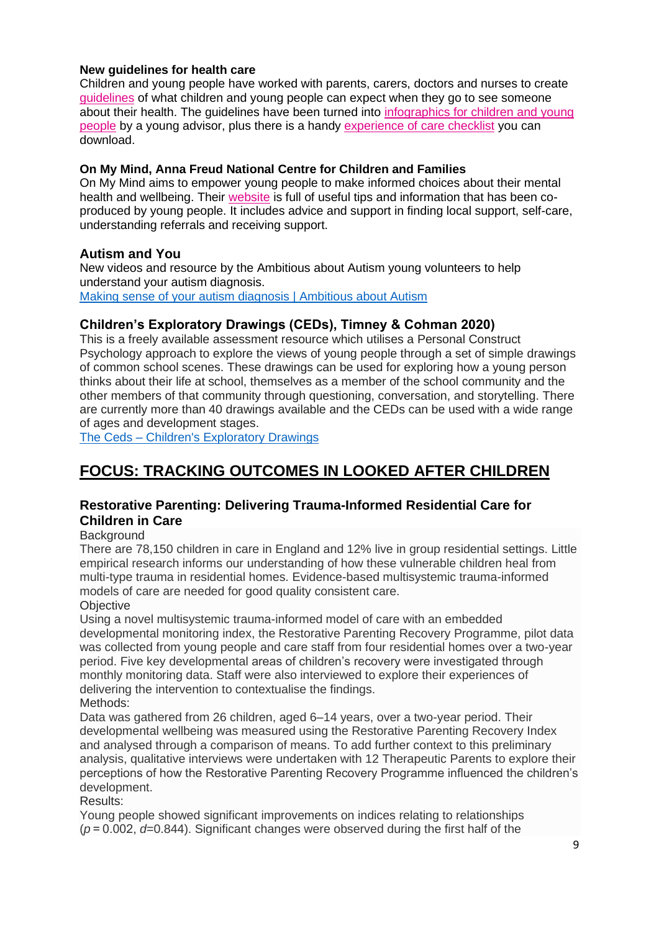#### **New guidelines for health care**

Children and young people have worked with parents, carers, doctors and nurses to create [guidelines](https://sends.rcpch.ac.uk/t/3YSO-1CD4B-20ZO8V-VK83U-1/c.aspx) of what children and young people can expect when they go to see someone about their health. The guidelines have been turned into [infographics for children and young](https://sends.rcpch.ac.uk/t/3YSO-1CD4B-20ZO8V-VK7ZL-1/c.aspx)  [people](https://sends.rcpch.ac.uk/t/3YSO-1CD4B-20ZO8V-VK7ZL-1/c.aspx) by a young advisor, plus there is a handy [experience of care checklist](https://sends.rcpch.ac.uk/t/3YSO-1CD4B-20ZO8V-VK83V-1/c.aspx) you can download.

#### **On My Mind, Anna Freud National Centre for Children and Families**

On My Mind aims to empower young people to make informed choices about their mental health and wellbeing. Their [website](https://sends.rcpch.ac.uk/t/3YSO-1CD4B-20ZO8V-VFKWI-1/c.aspx) is full of useful tips and information that has been coproduced by young people. It includes advice and support in finding local support, self-care, understanding referrals and receiving support.

#### **Autism and You**

New videos and resource by the Ambitious about Autism young volunteers to help understand your autism diagnosis. [Making sense of your autism diagnosis | Ambitious about Autism](https://www.ambitiousaboutautism.org.uk/information-about-autism/preparing-for-adulthood/making-sense-of-your-autism-diagnosis?dm_t=0,0,0,0,0)

## **Children's Exploratory Drawings (CEDs), Timney & Cohman 2020)**

This is a freely available assessment resource which utilises a Personal Construct Psychology approach to explore the views of young people through a set of simple drawings of common school scenes. These drawings can be used for exploring how a young person thinks about their life at school, themselves as a member of the school community and the other members of that community through questioning, conversation, and storytelling. There are currently more than 40 drawings available and the CEDs can be used with a wide range of ages and development stages.

The Ceds – [Children's Exploratory Drawings](http://theceds.co.uk/)

# **FOCUS: TRACKING OUTCOMES IN LOOKED AFTER CHILDREN**

# **Restorative Parenting: Delivering Trauma-Informed Residential Care for Children in Care**

**Background** 

There are 78,150 children in care in England and 12% live in group residential settings. Little empirical research informs our understanding of how these vulnerable children heal from multi-type trauma in residential homes. Evidence-based multisystemic trauma-informed models of care are needed for good quality consistent care.

#### **Objective**

Using a novel multisystemic trauma-informed model of care with an embedded developmental monitoring index, the Restorative Parenting Recovery Programme, pilot data was collected from young people and care staff from four residential homes over a two-year period. Five key developmental areas of children's recovery were investigated through monthly monitoring data. Staff were also interviewed to explore their experiences of delivering the intervention to contextualise the findings. Methods:

Data was gathered from 26 children, aged 6–14 years, over a two-year period. Their developmental wellbeing was measured using the Restorative Parenting Recovery Index and analysed through a comparison of means. To add further context to this preliminary analysis, qualitative interviews were undertaken with 12 Therapeutic Parents to explore their perceptions of how the Restorative Parenting Recovery Programme influenced the children's development.

Results:

Young people showed significant improvements on indices relating to relationships (*p* = 0.002, *d*=0.844). Significant changes were observed during the first half of the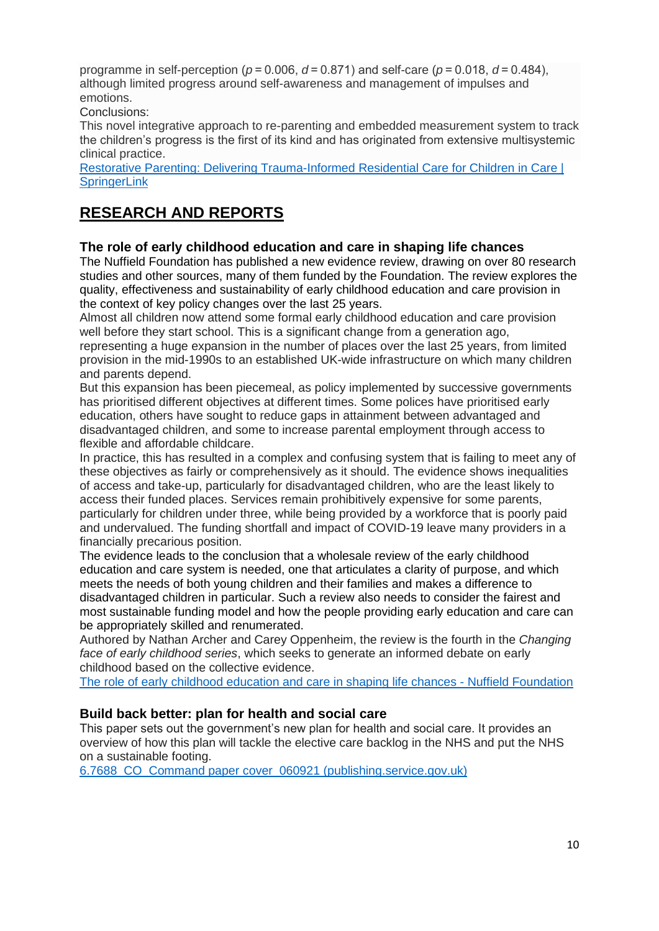programme in self-perception (*p* = 0.006, *d* = 0.871) and self-care (*p* = 0.018, *d* = 0.484), although limited progress around self-awareness and management of impulses and emotions.

Conclusions:

This novel integrative approach to re-parenting and embedded measurement system to track the children's progress is the first of its kind and has originated from extensive multisystemic clinical practice.

[Restorative Parenting: Delivering Trauma-Informed Residential Care for Children in Care |](https://link.springer.com/article/10.1007/s10566-021-09610-8)  **[SpringerLink](https://link.springer.com/article/10.1007/s10566-021-09610-8)** 

# **RESEARCH AND REPORTS**

# **The role of early childhood education and care in shaping life chances**

The Nuffield Foundation has published a new evidence review, drawing on over 80 research studies and other sources, many of them funded by the Foundation. The review explores the quality, effectiveness and sustainability of early childhood education and care provision in the context of key policy changes over the last 25 years.

Almost all children now attend some formal early childhood education and care provision well before they start school. This is a significant change from a generation ago, representing a huge expansion in the number of places over the last 25 years, from limited provision in the mid-1990s to an established UK-wide infrastructure on which many children and parents depend.

But this expansion has been piecemeal, as policy implemented by successive governments has prioritised different objectives at different times. Some polices have prioritised early education, others have sought to reduce gaps in attainment between advantaged and disadvantaged children, and some to increase parental employment through access to flexible and affordable childcare.

In practice, this has resulted in a complex and confusing system that is failing to meet any of these objectives as fairly or comprehensively as it should. The evidence shows inequalities of access and take-up, particularly for disadvantaged children, who are the least likely to access their funded places. Services remain prohibitively expensive for some parents, particularly for children under three, while being provided by a workforce that is poorly paid and undervalued. The funding shortfall and impact of COVID-19 leave many providers in a financially precarious position.

The evidence leads to the conclusion that a wholesale review of the early childhood education and care system is needed, one that articulates a clarity of purpose, and which meets the needs of both young children and their families and makes a difference to disadvantaged children in particular. Such a review also needs to consider the fairest and most sustainable funding model and how the people providing early education and care can be appropriately skilled and renumerated.

Authored by Nathan Archer and Carey Oppenheim, the review is the fourth in the *Changing face of early childhood series*, which seeks to generate an informed debate on early childhood based on the collective evidence.

[The role of early childhood education and care in shaping life chances -](https://www.nuffieldfoundation.org/publications/early-childhood-education-care-shaping-life-chances) Nuffield Foundation

## **Build back [better:](https://emea01.safelinks.protection.outlook.com/?url=http%3A%2F%2Fwww.networks.nhs.uk%2Fnetworks%2Fnews%2Fbuild-back-better-plan-for-health-and-social-care&data=04%7C01%7C%7C5115ed2af822403f632408d9770b41ad%7C84df9e7fe9f640afb435aaaaaaaaaaaa%7C1%7C0%7C637671712489167791%7CUnknown%7CTWFpbGZsb3d8eyJWIjoiMC4wLjAwMDAiLCJQIjoiV2luMzIiLCJBTiI6Ik1haWwiLCJXVCI6Mn0%3D%7C1000&sdata=nNla464PXUUjTb2xWpOszM7KytfsQoMeEV55nR%2B1IfA%3D&reserved=0) plan for health and social care**

This paper sets out the government's new plan for health and social care. It provides an overview of how this plan will tackle the elective care backlog in the NHS and put the NHS on a sustainable footing.

[6.7688\\_CO\\_Command paper cover\\_060921 \(publishing.service.gov.uk\)](https://assets.publishing.service.gov.uk/government/uploads/system/uploads/attachment_data/file/1015736/Build_Back_Better-_Our_Plan_for_Health_and_Social_Care.pdf)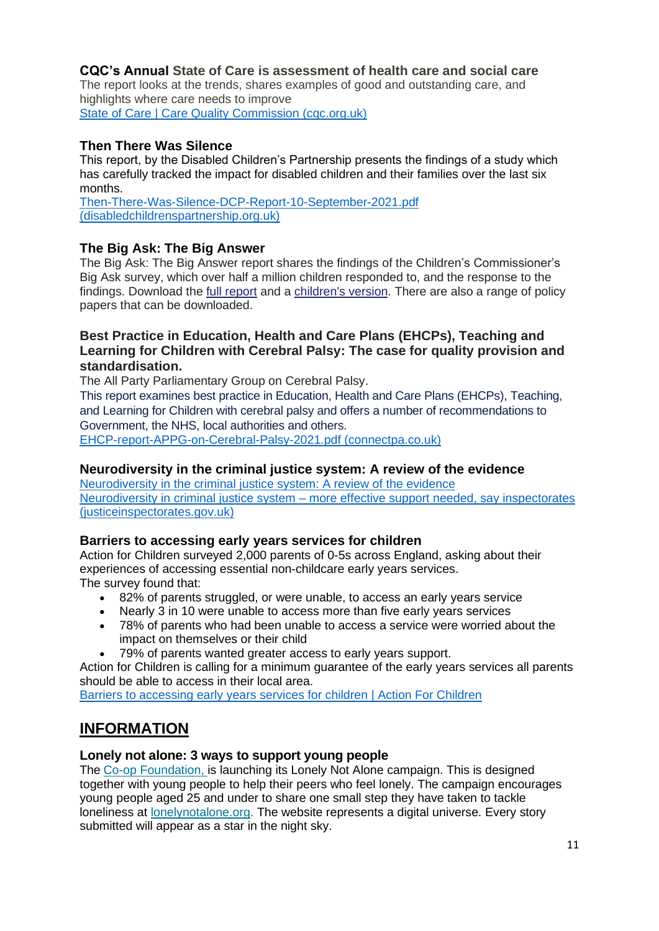# **CQC's Annual State of Care is assessment of health care and social care**

The report looks at the trends, shares examples of good and outstanding care, and highlights where care needs to improve

[State of Care | Care Quality Commission \(cqc.org.uk\)](https://www.cqc.org.uk/publications/major-report/state-care)

# **Then There Was Silence**

This report, by the Disabled Children's Partnership presents the findings of a study which has carefully tracked the impact for disabled children and their families over the last six months.

[Then-There-Was-Silence-DCP-Report-10-September-2021.pdf](https://disabledchildrenspartnership.org.uk/wp-content/uploads/2021/09/Then-There-Was-Silence-DCP-Report-10-September-2021.pdf)  [\(disabledchildrenspartnership.org.uk\)](https://disabledchildrenspartnership.org.uk/wp-content/uploads/2021/09/Then-There-Was-Silence-DCP-Report-10-September-2021.pdf)

## **The Big Ask: The Big [Answer](https://emea01.safelinks.protection.outlook.com/?url=https%3A%2F%2Fncb.us9.list-manage.com%2Ftrack%2Fclick%3Fu%3D93ca41ab24380caf57761bd37%26id%3Da1f5a1015f%26e%3D59c28d4a77&data=04%7C01%7C%7C7fadf3cef2e14d65fd6c08d97eb8afbc%7C84df9e7fe9f640afb435aaaaaaaaaaaa%7C1%7C0%7C637680153950759943%7CUnknown%7CTWFpbGZsb3d8eyJWIjoiMC4wLjAwMDAiLCJQIjoiV2luMzIiLCJBTiI6Ik1haWwiLCJXVCI6Mn0%3D%7C1000&sdata=fZKWpsOeJxRke7yR2DJoaHuGeU4ZvIQqtCyXGc71hIU%3D&reserved=0)**

The Big Ask: The Big Answer report shares the findings of the Children's Commissioner's Big Ask survey, which over half a million children responded to, and the response to the findings. Download the full [report](https://emea01.safelinks.protection.outlook.com/?url=https%3A%2F%2Fncb.us9.list-manage.com%2Ftrack%2Fclick%3Fu%3D93ca41ab24380caf57761bd37%26id%3D927cb3207d%26e%3D59c28d4a77&data=04%7C01%7C%7C7fadf3cef2e14d65fd6c08d97eb8afbc%7C84df9e7fe9f640afb435aaaaaaaaaaaa%7C1%7C0%7C637680153950759943%7CUnknown%7CTWFpbGZsb3d8eyJWIjoiMC4wLjAwMDAiLCJQIjoiV2luMzIiLCJBTiI6Ik1haWwiLCJXVCI6Mn0%3D%7C1000&sdata=T8Ly9D5l6FKarJ4uIlOjNADml2qllNM%2BiiZATlWWZ5U%3D&reserved=0) and a [children's](https://emea01.safelinks.protection.outlook.com/?url=https%3A%2F%2Fncb.us9.list-manage.com%2Ftrack%2Fclick%3Fu%3D93ca41ab24380caf57761bd37%26id%3Dc49f6279bb%26e%3D59c28d4a77&data=04%7C01%7C%7C7fadf3cef2e14d65fd6c08d97eb8afbc%7C84df9e7fe9f640afb435aaaaaaaaaaaa%7C1%7C0%7C637680153950769902%7CUnknown%7CTWFpbGZsb3d8eyJWIjoiMC4wLjAwMDAiLCJQIjoiV2luMzIiLCJBTiI6Ik1haWwiLCJXVCI6Mn0%3D%7C1000&sdata=WE2S8mjVoG3T9k1f6x7IJE%2Bqcmqj5rDxc8xO69xGFfs%3D&reserved=0) version. There are also a range of policy papers that can be downloaded.

## **Best Practice in Education, Health and Care Plans (EHCPs), Teaching and Learning for Children with Cerebral Palsy: The case for quality provision and standardisation.**

The All Party Parliamentary Group on Cerebral Palsy.

This report examines best practice in Education, Health and Care Plans (EHCPs), Teaching, and Learning for Children with cerebral palsy and offers a number of recommendations to Government, the NHS, local authorities and others.

[EHCP-report-APPG-on-Cerebral-Palsy-2021.pdf \(connectpa.co.uk\)](https://connectpa.co.uk/wp-content/uploads/2021/10/EHCP-report-APPG-on-Cerebral-Palsy-2021.pdf)

#### **Neurodiversity in the criminal justice system: A review of the evidence**

Neurodiversity in the criminal justice system: A review of the evidence Neurodiversity in criminal justice system – [more effective support needed, say inspectorates](https://www.justiceinspectorates.gov.uk/cjji/media/press-releases/2021/07/neurodiversity-in-criminal-justice-system-more-effective-support-needed-say-inspectorates/?utm_source=The%20National%20Autistic%20Society&utm_medium=email&utm_campaign=12740889_criminaljusticenewsletter%20-%2020.10.21%20%5Btcc%5D&utm_content=Review%20of%20evidence%20%5Btcc%5D&Keywords=Review%20of%20evidence%20tcc&dm_i=YA3,7L2XL,KUG4LR,UVUTV,1)  [\(justiceinspectorates.gov.uk\)](https://www.justiceinspectorates.gov.uk/cjji/media/press-releases/2021/07/neurodiversity-in-criminal-justice-system-more-effective-support-needed-say-inspectorates/?utm_source=The%20National%20Autistic%20Society&utm_medium=email&utm_campaign=12740889_criminaljusticenewsletter%20-%2020.10.21%20%5Btcc%5D&utm_content=Review%20of%20evidence%20%5Btcc%5D&Keywords=Review%20of%20evidence%20tcc&dm_i=YA3,7L2XL,KUG4LR,UVUTV,1)

#### **Barriers to accessing early years services for children**

Action for Children surveyed 2,000 parents of 0-5s across England, asking about their experiences of accessing essential non-childcare early years services. The survey found that:

- 82% of parents struggled, or were unable, to access an early years service
- Nearly 3 in 10 were unable to access more than five early vears services
- 78% of parents who had been unable to access a service were worried about the impact on themselves or their child
- 79% of parents wanted greater access to early years support.

Action for Children is calling for a minimum guarantee of the early years services all parents should be able to access in their local area.

[Barriers to accessing early years services for children | Action For Children](https://www.actionforchildren.org.uk/our-work-and-impact/policy-work-campaigns-and-research/policy-reports/barriers-to-accessing-early-years-services-for-children/)

# **INFORMATION**

#### **Lonely not alone: 3 ways to support young people**

The Co-op [Foundation,](https://emea01.safelinks.protection.outlook.com/?url=https%3A%2F%2Fco-operate.us3.list-manage.com%2Ftrack%2Fclick%3Fu%3D21ce825107a2813010fa4cc9d%26id%3D3f6e2722c3%26e%3Deafac23325&data=04%7C01%7C%7C0f742b889a6d4231acf008d98fba4039%7C84df9e7fe9f640afb435aaaaaaaaaaaa%7C1%7C0%7C637698852369132860%7CUnknown%7CTWFpbGZsb3d8eyJWIjoiMC4wLjAwMDAiLCJQIjoiV2luMzIiLCJBTiI6Ik1haWwiLCJXVCI6Mn0%3D%7C1000&sdata=S4ko4F3IoN4a2jTbTPYOn9W2oKyAvWkRr6jCmQr0%2BHw%3D&reserved=0) is launching its Lonely Not Alone campaign. This is designed together with young people to help their peers who feel lonely. The campaign encourages young people aged 25 and under to share one small step they have taken to tackle loneliness at [lonelynotalone.org.](https://emea01.safelinks.protection.outlook.com/?url=https%3A%2F%2Fco-operate.us3.list-manage.com%2Ftrack%2Fclick%3Fu%3D21ce825107a2813010fa4cc9d%26id%3Dcda33deb39%26e%3Deafac23325&data=04%7C01%7C%7C0f742b889a6d4231acf008d98fba4039%7C84df9e7fe9f640afb435aaaaaaaaaaaa%7C1%7C0%7C637698852369132860%7CUnknown%7CTWFpbGZsb3d8eyJWIjoiMC4wLjAwMDAiLCJQIjoiV2luMzIiLCJBTiI6Ik1haWwiLCJXVCI6Mn0%3D%7C1000&sdata=A35ayJKvH%2BW9JqHF6q5PdZ6lVrmdQWCc3ODtvIaFAvY%3D&reserved=0) The website represents a digital universe. Every story submitted will appear as a star in the night sky.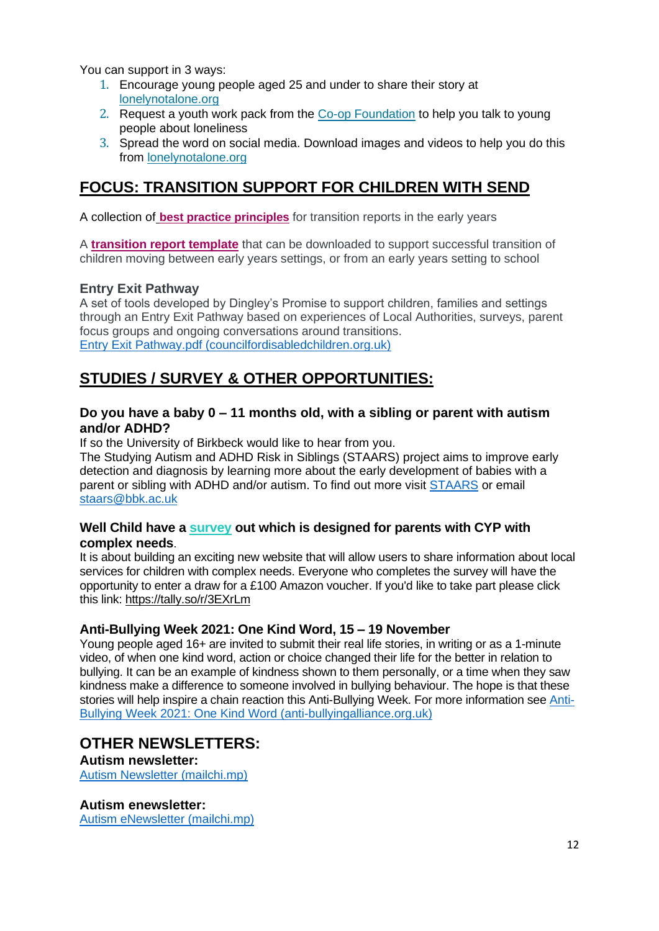You can support in 3 ways:

- 1. Encourage young people aged 25 and under to share their story at [lonelynotalone.org](https://emea01.safelinks.protection.outlook.com/?url=https%3A%2F%2Fco-operate.us3.list-manage.com%2Ftrack%2Fclick%3Fu%3D21ce825107a2813010fa4cc9d%26id%3D53302385bc%26e%3Deafac23325&data=04%7C01%7C%7C0f742b889a6d4231acf008d98fba4039%7C84df9e7fe9f640afb435aaaaaaaaaaaa%7C1%7C0%7C637698852369132860%7CUnknown%7CTWFpbGZsb3d8eyJWIjoiMC4wLjAwMDAiLCJQIjoiV2luMzIiLCJBTiI6Ik1haWwiLCJXVCI6Mn0%3D%7C1000&sdata=R6ol7%2BCtSuFCC1NBLUaO3xqhOUqoYn69QcyAPbnq0fc%3D&reserved=0)
- 2. Request a youth work pack from the Co-op [Foundation](mailto:%20foundation.media@coop.co.uk) to help you talk to young people about loneliness
- 3. Spread the word on social media. Download images and videos to help you do this from [lonelynotalone.org](https://emea01.safelinks.protection.outlook.com/?url=https%3A%2F%2Fco-operate.us3.list-manage.com%2Ftrack%2Fclick%3Fu%3D21ce825107a2813010fa4cc9d%26id%3D663e298721%26e%3Deafac23325&data=04%7C01%7C%7C0f742b889a6d4231acf008d98fba4039%7C84df9e7fe9f640afb435aaaaaaaaaaaa%7C1%7C0%7C637698852369142815%7CUnknown%7CTWFpbGZsb3d8eyJWIjoiMC4wLjAwMDAiLCJQIjoiV2luMzIiLCJBTiI6Ik1haWwiLCJXVCI6Mn0%3D%7C1000&sdata=lZDRJ1r6ohtGNC7EqWlTvRVcJ5tiv8MQ9DhjLj950VU%3D&reserved=0)

# **FOCUS: TRANSITION SUPPORT FOR CHILDREN WITH SEND**

A collection of **[best practice principles](https://www.london.gov.uk/sites/default/files/send_group_-_best_practice_principles_for_transition_reports_in_eyfs_-_final_version.pdf)** for transition reports in the early years

A **[transition report template](https://www.london.gov.uk/sites/default/files/send_group_-_transition_report_template_-_final_version.docx)** that can be downloaded to support successful transition of children moving between early years settings, or from an early years setting to school

## **Entry Exit Pathway**

A set of tools developed by Dingley's Promise to support children, families and settings through an Entry Exit Pathway based on experiences of Local Authorities, surveys, parent focus groups and ongoing conversations around transitions. [Entry Exit Pathway.pdf \(councilfordisabledchildren.org.uk\)](https://councilfordisabledchildren.org.uk/sites/default/files/uploads/attachments/Entry%20Exit%20Pathway.pdf)

# **STUDIES / SURVEY & OTHER OPPORTUNITIES:**

#### **Do you have a baby 0 – 11 months old, with a sibling or parent with autism and/or ADHD?**

If so the University of Birkbeck would like to hear from you.

The Studying Autism and ADHD Risk in Siblings (STAARS) project aims to improve early detection and diagnosis by learning more about the early development of babies with a parent or sibling with ADHD and/or autism. To find out more visit [STAARS](https://www.staars.org/) or email [staars@bbk.ac.uk](mailto:staars@bbk.ac.uk)

#### **Well Child have a [survey](https://emea01.safelinks.protection.outlook.com/?url=https%3A%2F%2Fcdc.mobilize.io%2Flinks%3Flid%3DTt00fYshcigAaHUdUdEOfA%26token%3Dp8P8e52SaMiIzY4507FkEg%26url%3Dhttps%253A%252F%252Feur02.safelinks.protection.outlook.com%252F%253Furl%253Dhttps%25253A%25252F%25252Ftally.so%25252Fr%25252F3EXrLm%2526data%253D04%25257C01%25257CFElliott%252540ncb.org.uk%25257C092db178cc754c7c30ef08d974637c0d%25257Cadc87355e29c4519954f95e35c776178%25257C0%25257C0%25257C637668792898948341%25257CUnknown%25257CTWFpbGZsb3d8eyJWIjoiMC4wLjAwMDAiLCJQIjoiV2luMzIiLCJBTiI6Ik1haWwiLCJXVCI6Mn0%25253D%25257C1000%2526sdata%253DtAaZk9enevTsBBWRyXT7wjdZzrcwjCkklJskBfyKIX0%25253D%2526reserved%253D0&data=04%7C01%7C%7C0e15de34411d4234f2eb08d981c446d1%7C84df9e7fe9f640afb435aaaaaaaaaaaa%7C1%7C0%7C637683502262939392%7CUnknown%7CTWFpbGZsb3d8eyJWIjoiMC4wLjAwMDAiLCJQIjoiV2luMzIiLCJBTiI6Ik1haWwiLCJXVCI6Mn0%3D%7C1000&sdata=exfqcAxBe1QMwnit7l9cQETlUUDR5%2FACvevQdhSk1So%3D&reserved=0) out which is designed for parents with CYP with complex needs**.

It is about building an exciting new website that will allow users to share information about local services for children with complex needs. Everyone who completes the survey will have the opportunity to enter a draw for a £100 Amazon voucher. If you'd like to take part please click this link: [https://tally.so/r/3EXrLm](https://emea01.safelinks.protection.outlook.com/?url=https%3A%2F%2Fcdc.mobilize.io%2Flinks%3Flid%3DTt00fYshcigAaHUdUdEOfA%26token%3Dp8P8e52SaMiIzY4507FkEg%26url%3Dhttps%253A%252F%252Feur02.safelinks.protection.outlook.com%252F%253Furl%253Dhttps%25253A%25252F%25252Ftally.so%25252Fr%25252F3EXrLm%2526data%253D04%25257C01%25257CFElliott%252540ncb.org.uk%25257C092db178cc754c7c30ef08d974637c0d%25257Cadc87355e29c4519954f95e35c776178%25257C0%25257C0%25257C637668792898948341%25257CUnknown%25257CTWFpbGZsb3d8eyJWIjoiMC4wLjAwMDAiLCJQIjoiV2luMzIiLCJBTiI6Ik1haWwiLCJXVCI6Mn0%25253D%25257C1000%2526sdata%253DtAaZk9enevTsBBWRyXT7wjdZzrcwjCkklJskBfyKIX0%25253D%2526reserved%253D0&data=04%7C01%7C%7C0e15de34411d4234f2eb08d981c446d1%7C84df9e7fe9f640afb435aaaaaaaaaaaa%7C1%7C0%7C637683502262949342%7CUnknown%7CTWFpbGZsb3d8eyJWIjoiMC4wLjAwMDAiLCJQIjoiV2luMzIiLCJBTiI6Ik1haWwiLCJXVCI6Mn0%3D%7C1000&sdata=mh%2Bj%2FYL6YmjnQotoYxScqJsu%2FOyg1%2BSG70Xkwu2%2BRAU%3D&reserved=0)

## **Anti-Bullying Week 2021: One Kind Word, 15 – 19 November**

Young people aged 16+ are invited to submit their real life stories, in writing or as a 1-minute video, of when one kind word, action or choice changed their life for the better in relation to bullying. It can be an example of kindness shown to them personally, or a time when they saw kindness make a difference to someone involved in bullying behaviour. The hope is that these stories will help inspire a chain reaction this Anti-Bullying Week. For more information see [Anti-](https://anti-bullyingalliance.org.uk/anti-bullying-week/anti-bullying-week-2021-one-kind-word)[Bullying Week 2021: One Kind Word \(anti-bullyingalliance.org.uk\)](https://anti-bullyingalliance.org.uk/anti-bullying-week/anti-bullying-week-2021-one-kind-word)

# **OTHER NEWSLETTERS:**

**Autism newsletter:** [Autism Newsletter \(mailchi.mp\)](https://mailchi.mp/aa59dbca09a9/autism-newsletter?e=acbe2531b0)

**Autism enewsletter:**

[Autism eNewsletter \(mailchi.mp\)](https://mailchi.mp/f4b9273a124b/autism-enewsletter-5030782?e=acbe2531b0)